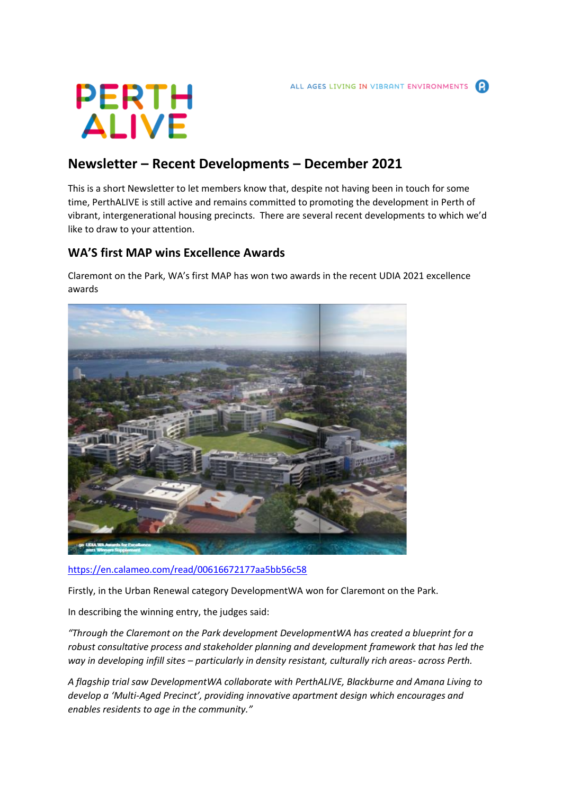

# **Newsletter – Recent Developments – December 2021**

This is a short Newsletter to let members know that, despite not having been in touch for some time, PerthALIVE is still active and remains committed to promoting the development in Perth of vibrant, intergenerational housing precincts. There are several recent developments to which we'd like to draw to your attention.

## **WA'S first MAP wins Excellence Awards**

Claremont on the Park, WA's first MAP has won two awards in the recent UDIA 2021 excellence awards



<https://en.calameo.com/read/00616672177aa5bb56c58>

Firstly, in the Urban Renewal category DevelopmentWA won for Claremont on the Park.

In describing the winning entry, the judges said:

*"Through the Claremont on the Park development DevelopmentWA has created a blueprint for a robust consultative process and stakeholder planning and development framework that has led the way in developing infill sites – particularly in density resistant, culturally rich areas- across Perth.*

*A flagship trial saw DevelopmentWA collaborate with PerthALIVE, Blackburne and Amana Living to develop a 'Multi-Aged Precinct', providing innovative apartment design which encourages and enables residents to age in the community."*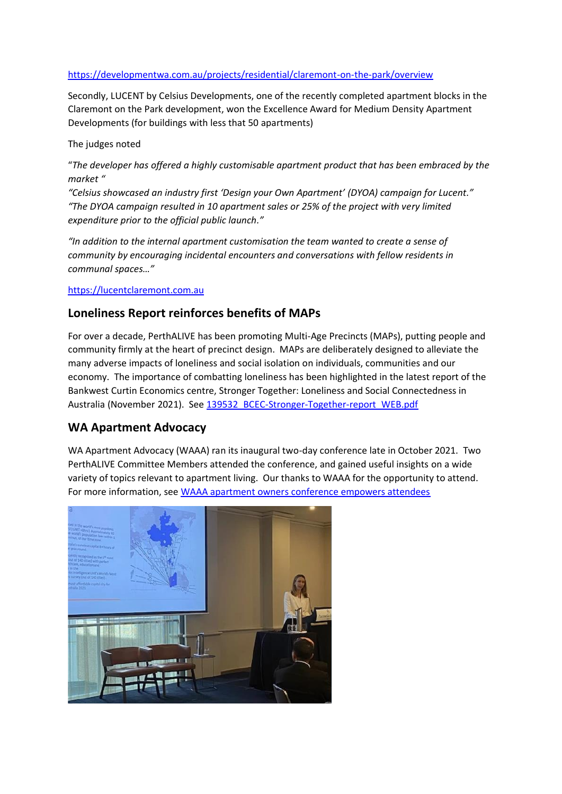<https://developmentwa.com.au/projects/residential/claremont-on-the-park/overview>

Secondly, LUCENT by Celsius Developments, one of the recently completed apartment blocks in the Claremont on the Park development, won the Excellence Award for Medium Density Apartment Developments (for buildings with less that 50 apartments)

The judges noted

"*The developer has offered a highly customisable apartment product that has been embraced by the market "* 

*"Celsius showcased an industry first 'Design your Own Apartment' (DYOA) campaign for Lucent." "The DYOA campaign resulted in 10 apartment sales or 25% of the project with very limited expenditure prior to the official public launch."*

*"In addition to the internal apartment customisation the team wanted to create a sense of community by encouraging incidental encounters and conversations with fellow residents in communal spaces…"*

#### [https://lucentclaremont.com.au](https://lucentclaremont.com.au/)

### **Loneliness Report reinforces benefits of MAPs**

For over a decade, PerthALIVE has been promoting Multi-Age Precincts (MAPs), putting people and community firmly at the heart of precinct design. MAPs are deliberately designed to alleviate the many adverse impacts of loneliness and social isolation on individuals, communities and our economy. The importance of combatting loneliness has been highlighted in the latest report of the Bankwest Curtin Economics centre, Stronger Together: Loneliness and Social Connectedness in Australia (November 2021). See [139532\\_BCEC-Stronger-Together-report\\_WEB.pdf](https://bcec.edu.au/assets/2021/11/139532_BCEC-Stronger-Together-report_WEB.pdf)

### **WA Apartment Advocacy**

WA Apartment Advocacy (WAAA) ran its inaugural two-day conference late in October 2021. Two PerthALIVE Committee Members attended the conference, and gained useful insights on a wide variety of topics relevant to apartment living. Our thanks to WAAA for the opportunity to attend. For more information, see [WAAA apartment owners conference empowers attendees](https://www.waaa.net.au/single-post/waaa-apartment-owners-conference-empowers-attendees)